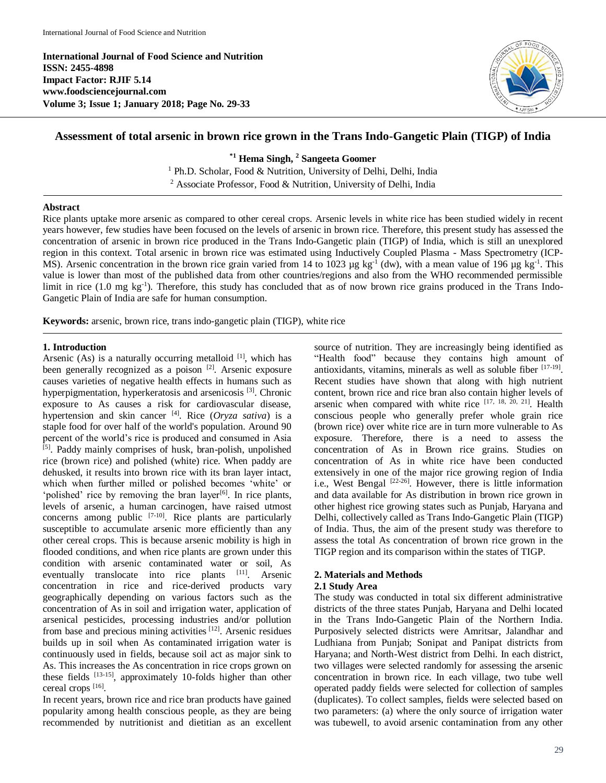**International Journal of Food Science and Nutrition ISSN: 2455-4898 Impact Factor: RJIF 5.14 www.foodsciencejournal.com Volume 3; Issue 1; January 2018; Page No. 29-33**



# **Assessment of total arsenic in brown rice grown in the Trans Indo-Gangetic Plain (TIGP) of India**

**\*1 Hema Singh, <sup>2</sup> Sangeeta Goomer**

<sup>1</sup> Ph.D. Scholar, Food & Nutrition, University of Delhi, Delhi, India <sup>2</sup> Associate Professor, Food & Nutrition, University of Delhi, India

## **Abstract**

Rice plants uptake more arsenic as compared to other cereal crops. Arsenic levels in white rice has been studied widely in recent years however, few studies have been focused on the levels of arsenic in brown rice. Therefore, this present study has assessed the concentration of arsenic in brown rice produced in the Trans Indo-Gangetic plain (TIGP) of India, which is still an unexplored region in this context. Total arsenic in brown rice was estimated using Inductively Coupled Plasma - Mass Spectrometry (ICP-MS). Arsenic concentration in the brown rice grain varied from 14 to 1023 µg kg<sup>-1</sup> (dw), with a mean value of 196 µg kg<sup>-1</sup>. This value is lower than most of the published data from other countries/regions and also from the WHO recommended permissible limit in rice (1.0 mg kg<sup>-1</sup>). Therefore, this study has concluded that as of now brown rice grains produced in the Trans Indo-Gangetic Plain of India are safe for human consumption.

**Keywords:** arsenic, brown rice, trans indo-gangetic plain (TIGP), white rice

### **1. Introduction**

Arsenic (As) is a naturally occurring metalloid  $[1]$ , which has been generally recognized as a poison [2]. Arsenic exposure causes varieties of negative health effects in humans such as hyperpigmentation, hyperkeratosis and arsenicosis [3]. Chronic exposure to As causes a risk for cardiovascular disease, hypertension and skin cancer [4]. Rice (*Oryza sativa*) is a staple food for over half of the world's population. Around 90 percent of the world's rice is produced and consumed in Asia [5]. Paddy mainly comprises of husk, bran-polish, unpolished rice (brown rice) and polished (white) rice. When paddy are dehusked, it results into brown rice with its bran layer intact, which when further milled or polished becomes 'white' or 'polished' rice by removing the bran layer $[6]$ . In rice plants, levels of arsenic, a human carcinogen, have raised utmost concerns among public  $[7-10]$ . Rice plants are particularly susceptible to accumulate arsenic more efficiently than any other cereal crops. This is because arsenic mobility is high in flooded conditions, and when rice plants are grown under this condition with arsenic contaminated water or soil, As eventually translocate into rice plants [11]. Arsenic concentration in rice and rice-derived products vary geographically depending on various factors such as the concentration of As in soil and irrigation water, application of arsenical pesticides, processing industries and/or pollution from base and precious mining activities [12]. Arsenic residues builds up in soil when As contaminated irrigation water is continuously used in fields, because soil act as major sink to As. This increases the As concentration in rice crops grown on these fields  $[13-15]$ , approximately 10-folds higher than other cereal crops [16].

In recent years, brown rice and rice bran products have gained popularity among health conscious people, as they are being recommended by nutritionist and dietitian as an excellent

source of nutrition. They are increasingly being identified as "Health food" because they contains high amount of antioxidants, vitamins, minerals as well as soluble fiber [17-19] . Recent studies have shown that along with high nutrient content, brown rice and rice bran also contain higher levels of arsenic when compared with white rice  $[17, 18, 20, 21]$ . Health conscious people who generally prefer whole grain rice (brown rice) over white rice are in turn more vulnerable to As exposure. Therefore, there is a need to assess the concentration of As in Brown rice grains. Studies on concentration of As in white rice have been conducted extensively in one of the major rice growing region of India i.e., West Bengal <sup>[22-26]</sup>. However, there is little information and data available for As distribution in brown rice grown in other highest rice growing states such as Punjab, Haryana and Delhi, collectively called as Trans Indo-Gangetic Plain (TIGP) of India. Thus, the aim of the present study was therefore to assess the total As concentration of brown rice grown in the TIGP region and its comparison within the states of TIGP.

### **2. Materials and Methods**

### **2.1 Study Area**

The study was conducted in total six different administrative districts of the three states Punjab, Haryana and Delhi located in the Trans Indo-Gangetic Plain of the Northern India. Purposively selected districts were Amritsar, Jalandhar and Ludhiana from Punjab; Sonipat and Panipat districts from Haryana; and North-West district from Delhi. In each district, two villages were selected randomly for assessing the arsenic concentration in brown rice. In each village, two tube well operated paddy fields were selected for collection of samples (duplicates). To collect samples, fields were selected based on two parameters: (a) where the only source of irrigation water was tubewell, to avoid arsenic contamination from any other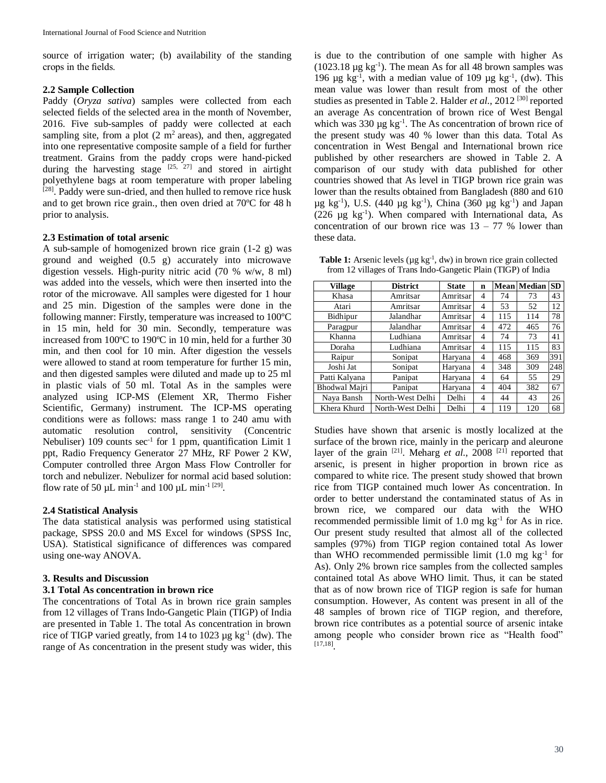source of irrigation water; (b) availability of the standing crops in the fields.

### **2.2 Sample Collection**

Paddy (*Oryza sativa*) samples were collected from each selected fields of the selected area in the month of November, 2016. Five sub-samples of paddy were collected at each sampling site, from a plot  $(2 \text{ m}^2 \text{ areas})$ , and then, aggregated into one representative composite sample of a field for further treatment. Grains from the paddy crops were hand-picked during the harvesting stage  $[25, 27]$  and stored in airtight polyethylene bags at room temperature with proper labeling [28]. Paddy were sun-dried, and then hulled to remove rice husk and to get brown rice grain., then oven dried at 70ºC for 48 h prior to analysis.

### **2.3 Estimation of total arsenic**

A sub-sample of homogenized brown rice grain (1-2 g) was ground and weighed (0.5 g) accurately into microwave digestion vessels. High-purity nitric acid (70 % w/w, 8 ml) was added into the vessels, which were then inserted into the rotor of the microwave. All samples were digested for 1 hour and 25 min. Digestion of the samples were done in the following manner: Firstly, temperature was increased to 100ºC in 15 min, held for 30 min. Secondly, temperature was increased from 100ºC to 190ºC in 10 min, held for a further 30 min, and then cool for 10 min. After digestion the vessels were allowed to stand at room temperature for further 15 min, and then digested samples were diluted and made up to 25 ml in plastic vials of 50 ml. Total As in the samples were analyzed using ICP-MS (Element XR, Thermo Fisher Scientific, Germany) instrument. The ICP-MS operating conditions were as follows: mass range 1 to 240 amu with automatic resolution control, sensitivity (Concentric Nebuliser)  $109$  counts sec<sup>-1</sup> for 1 ppm, quantification Limit 1 ppt, Radio Frequency Generator 27 MHz, RF Power 2 KW, Computer controlled three Argon Mass Flow Controller for torch and nebulizer. Nebulizer for normal acid based solution: flow rate of 50  $\mu$ L min<sup>-1</sup> and 100  $\mu$ L min<sup>-1 [29]</sup>.

### **2.4 Statistical Analysis**

The data statistical analysis was performed using statistical package, SPSS 20.0 and MS Excel for windows (SPSS Inc, USA). Statistical significance of differences was compared using one-way ANOVA.

### **3. Results and Discussion**

### **3.1 Total As concentration in brown rice**

The concentrations of Total As in brown rice grain samples from 12 villages of Trans Indo-Gangetic Plain (TIGP) of India are presented in Table 1. The total As concentration in brown rice of TIGP varied greatly, from 14 to 1023  $\mu$ g kg<sup>-1</sup> (dw). The range of As concentration in the present study was wider, this

is due to the contribution of one sample with higher As  $(1023.18 \text{ µg kg}^{-1})$ . The mean As for all 48 brown samples was 196  $\mu$ g kg<sup>-1</sup>, with a median value of 109  $\mu$ g kg<sup>-1</sup>, (dw). This mean value was lower than result from most of the other studies as presented in Table 2. Halder *et al.*, 2012<sup>[30]</sup> reported an average As concentration of brown rice of West Bengal which was  $330 \mu g$  kg<sup>-1</sup>. The As concentration of brown rice of the present study was 40 % lower than this data. Total As concentration in West Bengal and International brown rice published by other researchers are showed in Table 2. A comparison of our study with data published for other countries showed that As level in TIGP brown rice grain was lower than the results obtained from Bangladesh (880 and 610  $\mu$ g kg<sup>-1</sup>), U.S. (440  $\mu$ g kg<sup>-1</sup>), China (360  $\mu$ g kg<sup>-1</sup>) and Japan (226  $\mu$ g kg<sup>-1</sup>). When compared with International data, As concentration of our brown rice was  $13 - 77$  % lower than these data.

**Table 1:** Arsenic levels ( $\mu$ g kg<sup>-1</sup>, dw) in brown rice grain collected from 12 villages of Trans Indo-Gangetic Plain (TIGP) of India

| <b>Village</b> | <b>District</b>  | <b>State</b>  | $\mathbf n$ |     | <b>Mean Median</b> | <b>SD</b> |
|----------------|------------------|---------------|-------------|-----|--------------------|-----------|
| Khasa          | Amritsar         | Amritsar      | 4           | 74  | 73                 | 43        |
| Atari          | Amritsar         | Amritsar      | 4           | 53  | 52                 | 12        |
| Bidhipur       | Jalandhar        | Amritsar<br>4 |             | 115 | 114                | 78        |
| Paragpur       | Jalandhar        | Amritsar      | 4           | 472 | 465                | 76        |
| Khanna         | Ludhiana         | Amritsar      | 4           | 74  | 73                 | 41        |
| Doraha         | Ludhiana         | Amritsar      | 4           | 115 | 115                | 83        |
| Raipur         | Sonipat          | Haryana       | 4           | 468 | 369                | 391       |
| Joshi Jat      | Sonipat          | Haryana       | 4           | 348 | 309                | 248       |
| Patti Kalyana  | Panipat          | Haryana       | 4           | 64  | 55                 | 29        |
| Bhodwal Majri  | Panipat          | Haryana       | 4           | 404 | 382                | 67        |
| Naya Bansh     | North-West Delhi | Delhi         | 4           | 44  | 43                 | 26        |
| Khera Khurd    | North-West Delhi | Delhi         | 4           | 119 | 120                | 68        |

Studies have shown that arsenic is mostly localized at the surface of the brown rice, mainly in the pericarp and aleurone layer of the grain  $^{[21]}$ . Meharg *et al.*, 2008<sup>[21]</sup> reported that arsenic, is present in higher proportion in brown rice as compared to white rice. The present study showed that brown rice from TIGP contained much lower As concentration. In order to better understand the contaminated status of As in brown rice, we compared our data with the WHO recommended permissible limit of  $1.0 \text{ mg kg}^{-1}$  for As in rice. Our present study resulted that almost all of the collected samples (97%) from TIGP region contained total As lower than WHO recommended permissible limit  $(1.0 \text{ mg kg}^{-1} \text{ for }$ As). Only 2% brown rice samples from the collected samples contained total As above WHO limit. Thus, it can be stated that as of now brown rice of TIGP region is safe for human consumption. However, As content was present in all of the 48 samples of brown rice of TIGP region, and therefore, brown rice contributes as a potential source of arsenic intake among people who consider brown rice as "Health food" [17,18] .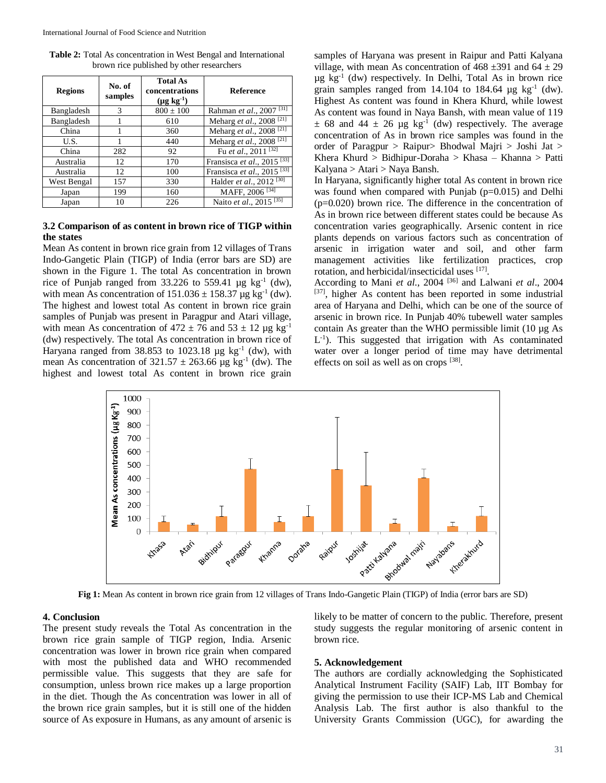| <b>Table 2:</b> Total As concentration in West Bengal and International |  |  |  |  |  |  |
|-------------------------------------------------------------------------|--|--|--|--|--|--|
| brown rice published by other researchers                               |  |  |  |  |  |  |

| <b>Regions</b> | No. of<br>samples | <b>Total As</b><br>concentrations<br>$(\mu g kg^{-1})$ | <b>Reference</b>                                     |
|----------------|-------------------|--------------------------------------------------------|------------------------------------------------------|
| Bangladesh     | 3                 | $800 \pm 100$                                          | Rahman et al., 2007 <sup>[31]</sup>                  |
| Bangladesh     |                   | 610                                                    | Meharg et al., 2008 <sup>[21]</sup>                  |
| China          |                   | 360                                                    | Meharg et al., 2008 <sup>[21]</sup>                  |
| U.S.           |                   | 440                                                    | Meharg et al., 2008 <sup>[21]</sup>                  |
| China          | 282               | 92                                                     | Fu et al., 2011 $\frac{32}{[32]}$                    |
| Australia      | 12                | 170                                                    | Fransisca et $\overline{al.}$ , 2015 <sup>[33]</sup> |
| Australia      | 12                | 100                                                    | Fransisca et al., 2015 <sup>[33]</sup>               |
| West Bengal    | 157               | 330                                                    | Halder et al., 2012 <sup>[30]</sup>                  |
| Japan          | 199               | 160                                                    | MAFF, 2006 <sup>[34]</sup>                           |
| Japan          | 10                | 226                                                    | Naito et al., 2015 <sup>[35]</sup>                   |

## **3.2 Comparison of as content in brown rice of TIGP within the states**

Mean As content in brown rice grain from 12 villages of Trans Indo-Gangetic Plain (TIGP) of India (error bars are SD) are shown in the Figure 1. The total As concentration in brown rice of Punjab ranged from 33.226 to 559.41  $\mu$ g kg<sup>-1</sup> (dw), with mean As concentration of  $151.036 \pm 158.37$  µg kg<sup>-1</sup> (dw). The highest and lowest total As content in brown rice grain samples of Punjab was present in Paragpur and Atari village, with mean As concentration of  $472 \pm 76$  and  $53 \pm 12$  µg kg<sup>-1</sup> (dw) respectively. The total As concentration in brown rice of Haryana ranged from  $38.853$  to  $1023.18$  µg kg<sup>-1</sup> (dw), with mean As concentration of  $321.57 \pm 263.66$  µg kg<sup>-1</sup> (dw). The highest and lowest total As content in brown rice grain

samples of Haryana was present in Raipur and Patti Kalyana village, with mean As concentration of  $468 \pm 391$  and  $64 \pm 29$ µg kg-1 (dw) respectively. In Delhi, Total As in brown rice grain samples ranged from  $14.104$  to  $184.64 \text{ µg kg}^{-1}$  (dw). Highest As content was found in Khera Khurd, while lowest As content was found in Naya Bansh, with mean value of 119  $\pm$  68 and 44  $\pm$  26 µg kg<sup>-1</sup> (dw) respectively. The average concentration of As in brown rice samples was found in the order of Paragpur > Raipur> Bhodwal Majri > Joshi Jat > Khera Khurd > Bidhipur-Doraha > Khasa – Khanna > Patti Kalyana > Atari > Naya Bansh.

In Haryana, significantly higher total As content in brown rice was found when compared with Punjab (p=0.015) and Delhi (p=0.020) brown rice. The difference in the concentration of As in brown rice between different states could be because As concentration varies geographically. Arsenic content in rice plants depends on various factors such as concentration of arsenic in irrigation water and soil, and other farm management activities like fertilization practices, crop rotation, and herbicidal/insecticidal uses [17].

According to Mani *et al*., 2004 [36] and Lalwani *et al*., 2004 [37], higher As content has been reported in some industrial area of Haryana and Delhi, which can be one of the source of arsenic in brown rice. In Punjab 40% tubewell water samples contain As greater than the WHO permissible limit (10 µg As L<sup>-1</sup>). This suggested that irrigation with As contaminated water over a longer period of time may have detrimental effects on soil as well as on crops [38].



**Fig 1:** Mean As content in brown rice grain from 12 villages of Trans Indo-Gangetic Plain (TIGP) of India (error bars are SD)

### **4. Conclusion**

The present study reveals the Total As concentration in the brown rice grain sample of TIGP region, India. Arsenic concentration was lower in brown rice grain when compared with most the published data and WHO recommended permissible value. This suggests that they are safe for consumption, unless brown rice makes up a large proportion in the diet. Though the As concentration was lower in all of the brown rice grain samples, but it is still one of the hidden source of As exposure in Humans, as any amount of arsenic is likely to be matter of concern to the public. Therefore, present study suggests the regular monitoring of arsenic content in brown rice.

#### **5. Acknowledgement**

The authors are cordially acknowledging the Sophisticated Analytical Instrument Facility (SAIF) Lab, IIT Bombay for giving the permission to use their ICP-MS Lab and Chemical Analysis Lab. The first author is also thankful to the University Grants Commission (UGC), for awarding the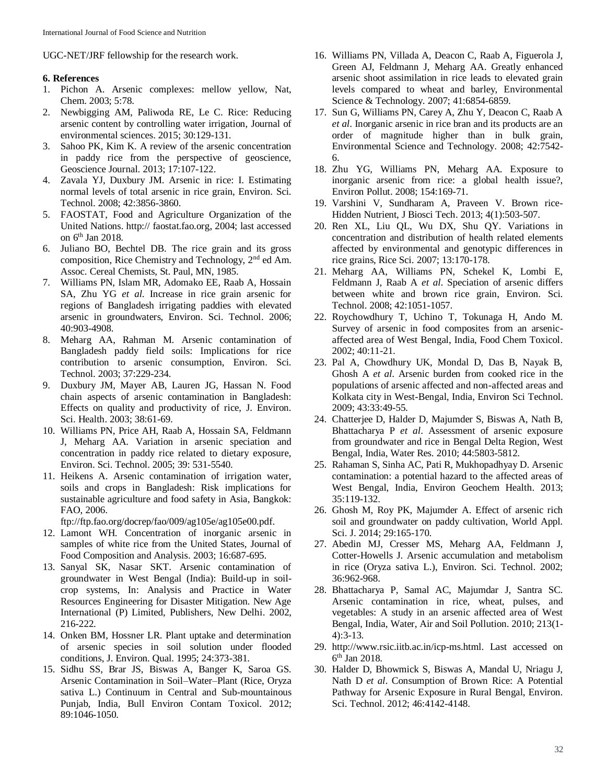UGC-NET/JRF fellowship for the research work.

## **6. References**

- 1. Pichon A. Arsenic complexes: mellow yellow, Nat, Chem. 2003; 5:78.
- 2. Newbigging AM, Paliwoda RE, Le C. Rice: Reducing arsenic content by controlling water irrigation, Journal of environmental sciences. 2015; 30:129-131.
- 3. Sahoo PK, Kim K. A review of the arsenic concentration in paddy rice from the perspective of geoscience, Geoscience Journal. 2013; 17:107-122.
- 4. Zavala YJ, Duxbury JM. Arsenic in rice: I. Estimating normal levels of total arsenic in rice grain, Environ. Sci. Technol. 2008; 42:3856-3860.
- 5. FAOSTAT, Food and Agriculture Organization of the United Nations. http:// faostat.fao.org, 2004; last accessed on 6th Jan 2018.
- 6. Juliano BO, Bechtel DB. The rice grain and its gross composition, Rice Chemistry and Technology, 2nd ed Am. Assoc. Cereal Chemists, St. Paul, MN, 1985.
- 7. Williams PN, Islam MR, Adomako EE, Raab A, Hossain SA, Zhu YG *et al*. Increase in rice grain arsenic for regions of Bangladesh irrigating paddies with elevated arsenic in groundwaters, Environ. Sci. Technol. 2006; 40:903-4908.
- 8. Meharg AA, Rahman M. Arsenic contamination of Bangladesh paddy field soils: Implications for rice contribution to arsenic consumption, Environ. Sci. Technol. 2003; 37:229-234.
- 9. Duxbury JM, Mayer AB, Lauren JG, Hassan N. Food chain aspects of arsenic contamination in Bangladesh: Effects on quality and productivity of rice, J. Environ. Sci. Health. 2003; 38:61-69.
- 10. Williams PN, Price AH, Raab A, Hossain SA, Feldmann J, Meharg AA. Variation in arsenic speciation and concentration in paddy rice related to dietary exposure, Environ. Sci. Technol. 2005; 39: 531-5540.
- 11. Heikens A. Arsenic contamination of irrigation water, soils and crops in Bangladesh: Risk implications for sustainable agriculture and food safety in Asia, Bangkok: FAO, 2006.

ftp://ftp.fao.org/docrep/fao/009/ag105e/ag105e00.pdf.

- 12. Lamont WH. Concentration of inorganic arsenic in samples of white rice from the United States, Journal of Food Composition and Analysis. 2003; 16:687-695.
- 13. Sanyal SK, Nasar SKT. Arsenic contamination of groundwater in West Bengal (India): Build-up in soilcrop systems, In: Analysis and Practice in Water Resources Engineering for Disaster Mitigation. New Age International (P) Limited, Publishers, New Delhi. 2002, 216-222.
- 14. Onken BM, Hossner LR. Plant uptake and determination of arsenic species in soil solution under flooded conditions, J. Environ. Qual. 1995; 24:373-381.
- 15. Sidhu SS, Brar JS, Biswas A, Banger K, Saroa GS. Arsenic Contamination in Soil–Water–Plant (Rice, Oryza sativa L.) Continuum in Central and Sub-mountainous Punjab, India, Bull Environ Contam Toxicol. 2012; 89:1046-1050.
- 16. Williams PN, Villada A, Deacon C, Raab A, Figuerola J, Green AJ, Feldmann J, Meharg AA. Greatly enhanced arsenic shoot assimilation in rice leads to elevated grain levels compared to wheat and barley, Environmental Science & Technology. 2007; 41:6854-6859.
- 17. Sun G, Williams PN, Carey A, Zhu Y, Deacon C, Raab A *et al*. Inorganic arsenic in rice bran and its products are an order of magnitude higher than in bulk grain, Environmental Science and Technology. 2008; 42:7542- 6.
- 18. Zhu YG, Williams PN, Meharg AA. Exposure to inorganic arsenic from rice: a global health issue?, Environ Pollut. 2008; 154:169-71.
- 19. Varshini V, Sundharam A, Praveen V. Brown rice-Hidden Nutrient, J Biosci Tech. 2013; 4(1):503-507.
- 20. Ren XL, Liu QL, Wu DX, Shu QY. Variations in concentration and distribution of health related elements affected by environmental and genotypic differences in rice grains, Rice Sci. 2007; 13:170-178.
- 21. Meharg AA, Williams PN, Schekel K, Lombi E, Feldmann J, Raab A *et al*. Speciation of arsenic differs between white and brown rice grain, Environ. Sci. Technol. 2008; 42:1051-1057.
- 22. Roychowdhury T, Uchino T, Tokunaga H, Ando M. Survey of arsenic in food composites from an arsenicaffected area of West Bengal, India, Food Chem Toxicol. 2002; 40:11-21.
- 23. Pal A, Chowdhury UK, Mondal D, Das B, Nayak B, Ghosh A *et al*. Arsenic burden from cooked rice in the populations of arsenic affected and non-affected areas and Kolkata city in West-Bengal, India, Environ Sci Technol. 2009; 43:33:49-55.
- 24. Chatterjee D, Halder D, Majumder S, Biswas A, Nath B, Bhattacharya P *et al*. Assessment of arsenic exposure from groundwater and rice in Bengal Delta Region, West Bengal, India, Water Res. 2010; 44:5803-5812.
- 25. Rahaman S, Sinha AC, Pati R, Mukhopadhyay D. Arsenic contamination: a potential hazard to the affected areas of West Bengal, India, Environ Geochem Health. 2013; 35:119-132.
- 26. Ghosh M, Roy PK, Majumder A. Effect of arsenic rich soil and groundwater on paddy cultivation, World Appl. Sci. J. 2014; 29:165-170.
- 27. Abedin MJ, Cresser MS, Meharg AA, Feldmann J, Cotter-Howells J. Arsenic accumulation and metabolism in rice (Oryza sativa L.), Environ. Sci. Technol. 2002; 36:962-968.
- 28. Bhattacharya P, Samal AC, Majumdar J, Santra SC. Arsenic contamination in rice, wheat, pulses, and vegetables: A study in an arsenic affected area of West Bengal, India, Water, Air and Soil Pollution. 2010; 213(1- 4):3-13.
- 29. http://www.rsic.iitb.ac.in/icp-ms.html. Last accessed on 6 th Jan 2018.
- 30. Halder D, Bhowmick S, Biswas A, Mandal U, Nriagu J, Nath D *et al*. Consumption of Brown Rice: A Potential Pathway for Arsenic Exposure in Rural Bengal, Environ. Sci. Technol. 2012; 46:4142-4148.